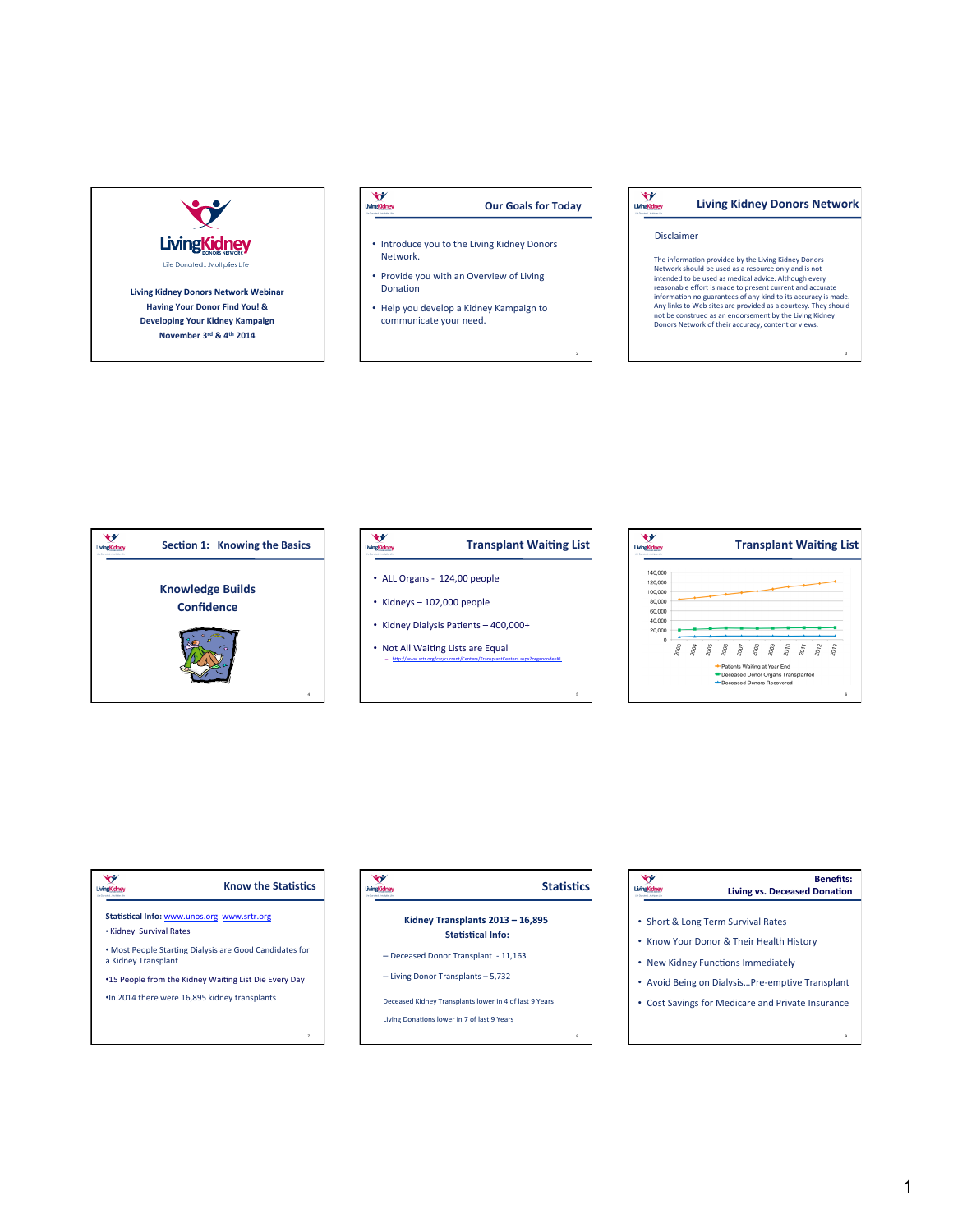

### LivingKidney **Our Goals for Today**

- Introduce you to the Living Kidney Donors Network.
- Provide you with an Overview of Living Donation
- Help you develop a Kidney Kampaign to communicate your need.

#### LivingKidney **Living Kidney Donors Network**

### Disclaimer

2

5

The information provided by the Living Kidney Donors<br>Network should be used as a resource only and is not<br>intended to be used as medical advice. Although every<br>reasonable effort is made to present current and accuracte<br>inf Any links to Web sites are provided as a courtesy. They should<br>not be construed as an endorsement by the Living Kidney<br>Donors Network of their accuracy, content or views.

3



# LivingKidney **Transplant Waiting List** • ALL Organs - 124,00 people  $\cdot$  Kidneys - 102,000 people

- Kidney Dialysis Patients  $-400,000+$
- Not All Waiting Lists are Equal

- http://www.srtr.org/csr/current/Centers/TransplantCenters.aspx?organcode=KI



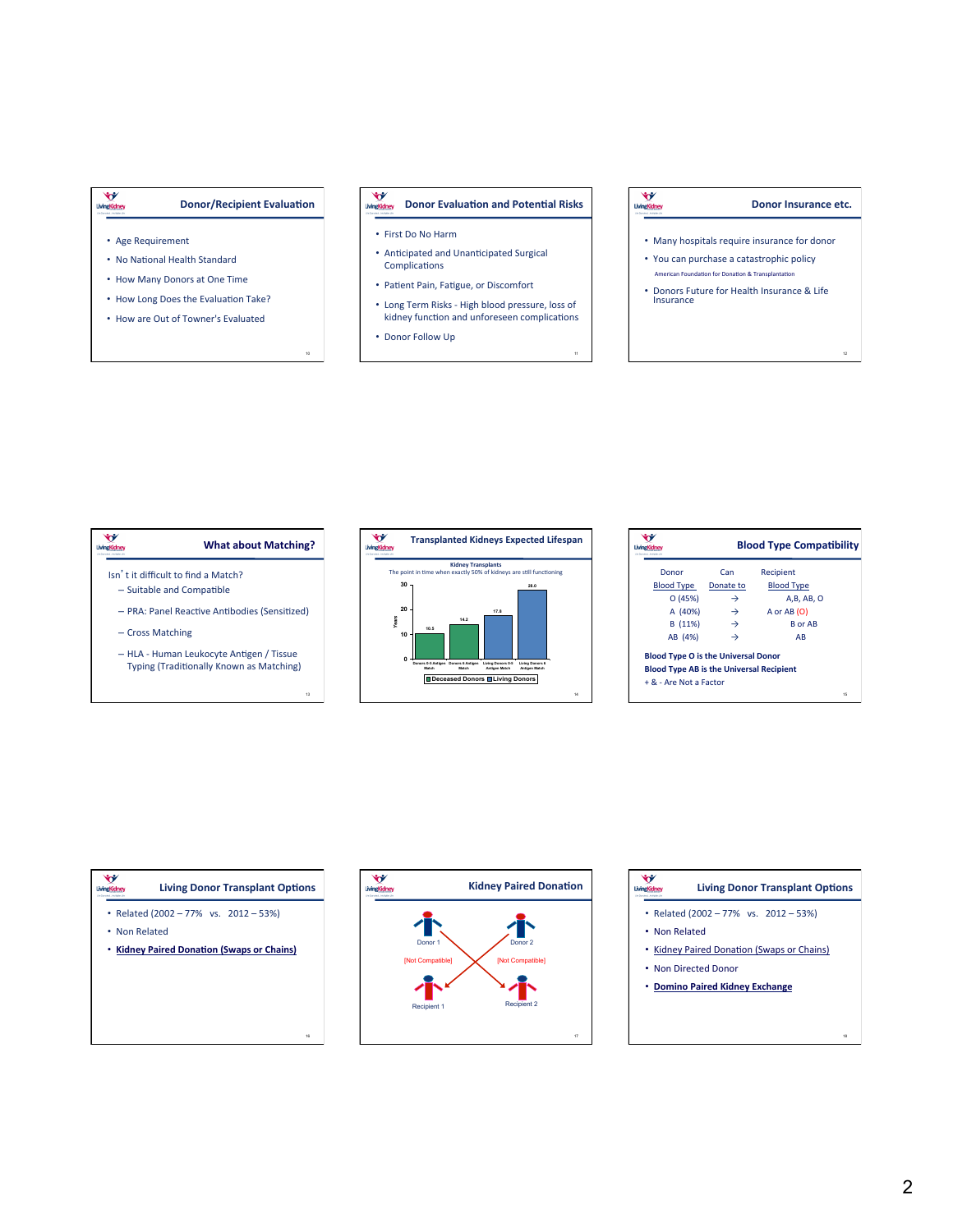### **Donor/Recipient Evaluation**

10

• Age Requirement

À

LivingKidney

- No National Health Standard
- How Many Donors at One Time
- How Long Does the Evaluation Take?
- How are Out of Towner's Evaluated

#### Ŵ **Donor Evaluation and Potential Risks**

- First Do No Harm
- Anticipated and Unanticipated Surgical Complications
- Patient Pain, Fatigue, or Discomfort
- Long Term Risks - High blood pressure, loss of kidney function and unforeseen complications

11

• Donor Follow Up

# LivingKidney

## **Donor Insurance etc.**

12

- Many hospitals require insurance for donor
- You can purchase a catastrophic policy American Foundation for Donation & Transplantation
- Donors Future for Health Insurance & Life Insurance





|                                                 |               | <b>Blood Type Compatibility</b> |
|-------------------------------------------------|---------------|---------------------------------|
| Donor                                           | Can           | Recipient                       |
| <b>Blood Type</b>                               | Donate to     | <b>Blood Type</b>               |
| O(45%)                                          | →             | A.B. AB. O                      |
| A (40%)                                         | $\rightarrow$ | A or AB (O)                     |
| B (11%)                                         | $\rightarrow$ | <b>B</b> or AB                  |
| AB (4%)                                         |               | AB                              |
| <b>Blood Type O is the Universal Donor</b>      |               |                                 |
| <b>Blood Type AB is the Universal Recipient</b> |               |                                 |
| + & - Are Not a Factor                          |               |                                 |
|                                                 |               | 15                              |

| <b>His Procedure - Marketing M</b> | <b>Living Donor Transplant Options</b>     |
|------------------------------------|--------------------------------------------|
|                                    | • Related (2002 - 77% vs. 2012 - 53%)      |
| • Non Related                      |                                            |
|                                    | • Kidney Paired Donation (Swaps or Chains) |
|                                    |                                            |
|                                    |                                            |
|                                    |                                            |
|                                    |                                            |
|                                    | 16                                         |



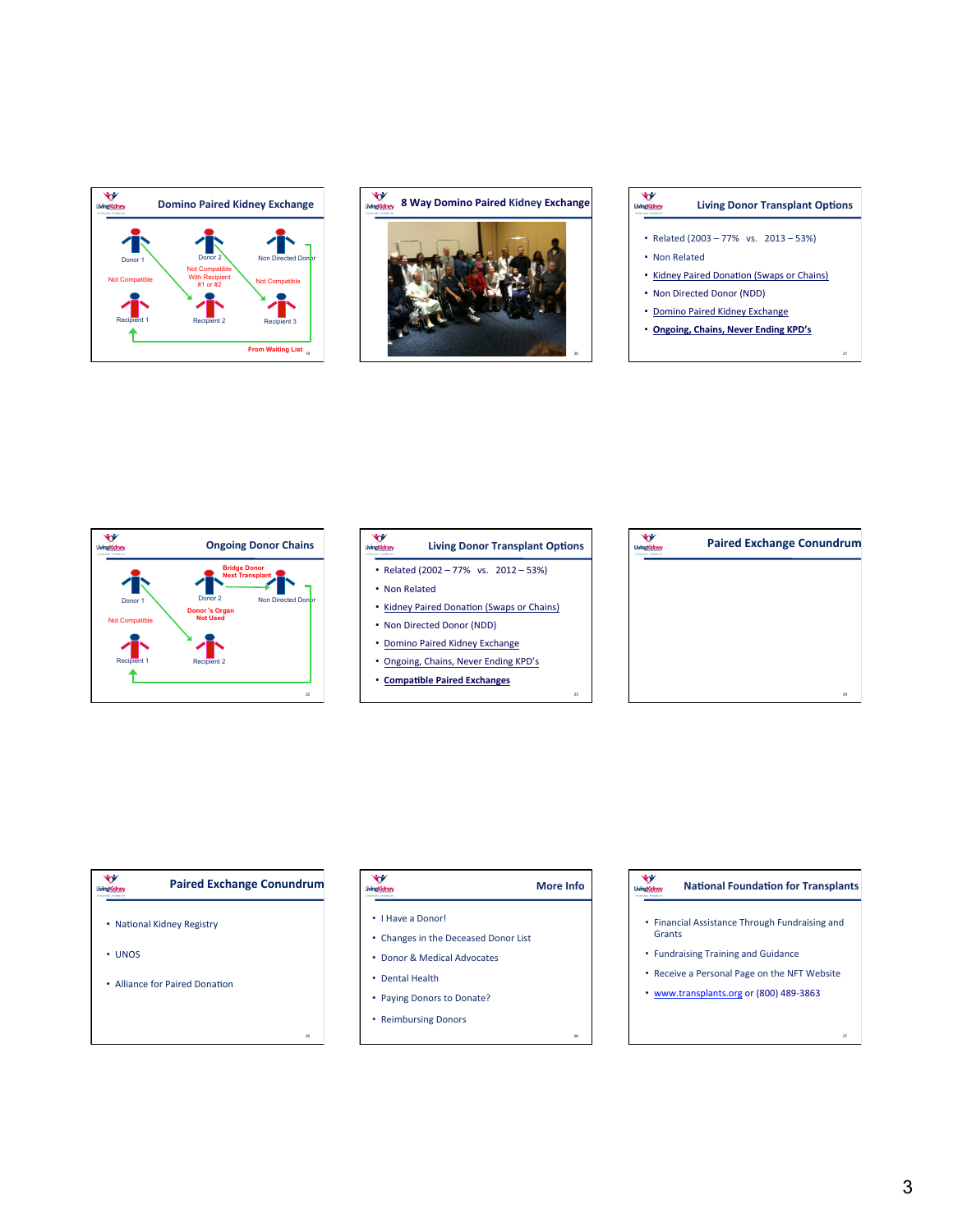

# **8** Way Domino Paired Kidney Exchange



# LivingKidney **Living Donor Transplant Options** • Related  $(2003 - 77\% \text{ vs. } 2013 - 53\%)$ • Non Related • Kidney Paired Donation (Swaps or Chains) • Non Directed Donor (NDD) • Domino Paired Kidney Exchange

• **Ongoing, Chains, Never Ending KPD's** 



## **V**<br> **MingKidney Living Donor Transplant Options** • Related  $(2002 - 77\%$  vs.  $2012 - 53\%)$

- Non Related
- Kidney Paired Donation (Swaps or Chains)
- Non Directed Donor (NDD)
- Domino Paired Kidney Exchange
- Ongoing, Chains, Never Ending KPD's
- **Compatible Paired Exchanges**



### LivingKidne **LivingKidney Paired Exchange Conundrum** • I Have a Donor! • National Kidney Registry

25

• UNOS 

### • Alliance for Paired Donation

| <b>More Info</b><br>$\blacksquare$ |
|------------------------------------|
|                                    |

23

26

- Changes in the Deceased Donor List
- Donor & Medical Advocates
- Dental Health
- Paying Donors to Donate?
- Reimbursing Donors

### LivingKidney **National Foundation for Transplants**

- Financial Assistance Through Fundraising and Grants
- Fundraising Training and Guidance
- Receive a Personal Page on the NFT Website
- www.transplants.org or (800) 489-3863

27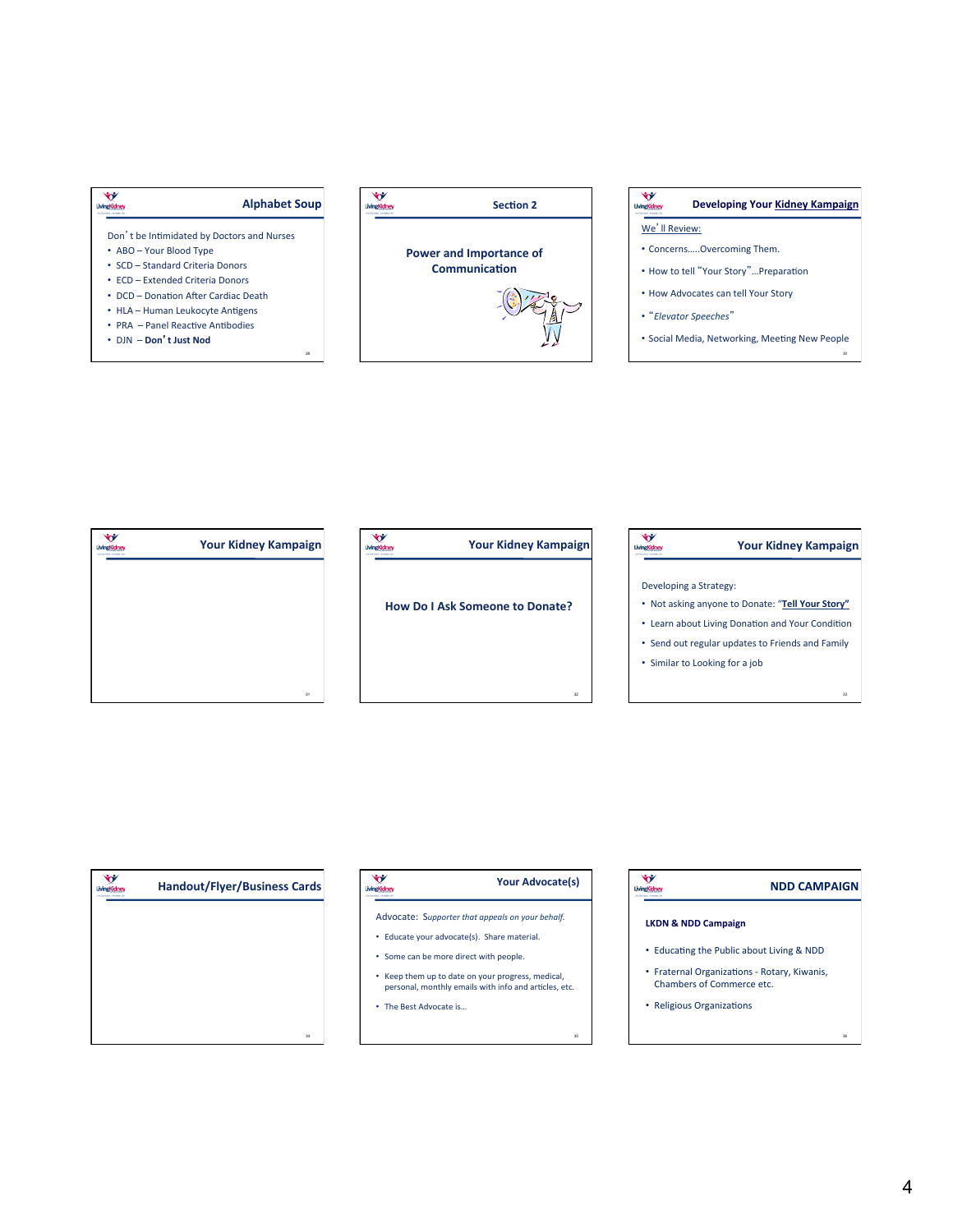



### LivingKidney Developing Your Kidney Kampaign

### We'll Review:

- Concerns.....Overcoming Them.
- How to tell "Your Story"...Preparation
- How Advocates can tell Your Story
- "Elevator Speeches"
- · Social Media, Networking, Meeting New People

| the Comonial, Andrawn the | <b>Your Kidney Kampaign</b> |
|---------------------------|-----------------------------|
|                           |                             |
|                           |                             |
|                           |                             |
|                           |                             |
|                           | 31                          |

| <b>Your Kidney Kampaign</b>            |
|----------------------------------------|
| <b>How Do I Ask Someone to Donate?</b> |
|                                        |

|                        | <b>Your Kidney Kampaign</b>                      |
|------------------------|--------------------------------------------------|
|                        |                                                  |
| Developing a Strategy: |                                                  |
|                        | . Not asking anyone to Donate: "Tell Your Story" |
|                        | • Learn about Living Donation and Your Condition |
|                        | • Send out regular updates to Friends and Family |
|                        | • Similar to Looking for a job                   |
|                        |                                                  |
|                        | 33                                               |

| LivingKidney<br>the Chevrolett, Analysies the | <b>Handout/Flyer/Business Cards</b> |
|-----------------------------------------------|-------------------------------------|
|                                               |                                     |
|                                               |                                     |
|                                               |                                     |
|                                               |                                     |
|                                               | 34                                  |

| <b>Your Advocate(s)</b> |
|-------------------------|
|                         |

- Advocate: Supporter that appeals on your behalf.
- Educate your advocate(s). Share material.
- Some can be more direct with people.
- Keep them up to date on your progress, medical, personal, monthly emails with info and articles, etc.
- The Best Advocate is...

LivingKidney

# **NDD CAMPAIGN**

## **LKDN & NDD Campaign**

LivingKidney

- Educating the Public about Living & NDD
- Fraternal Organizations Rotary, Kiwanis, Chambers of Commerce etc.
- Religious Organizations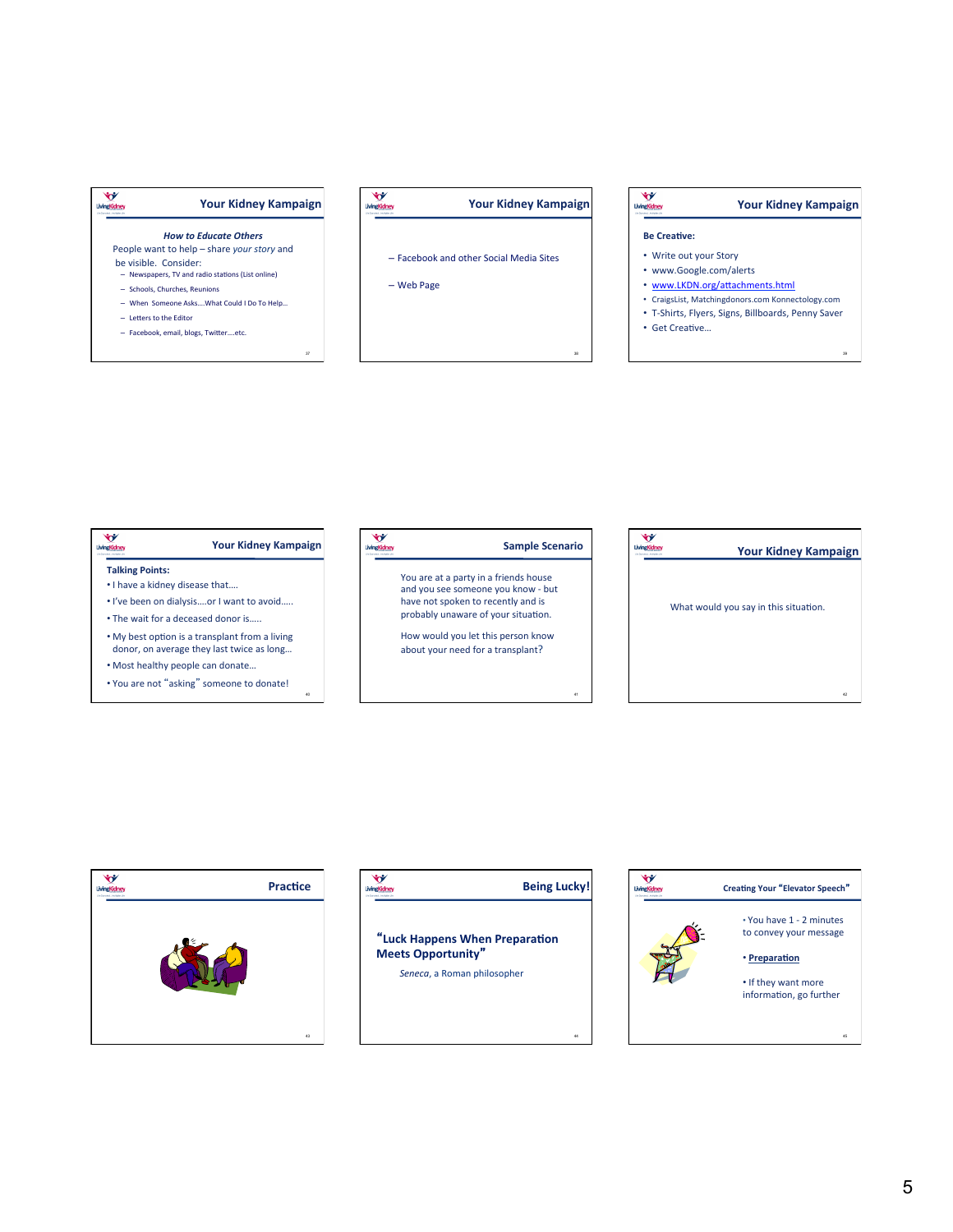



- Facebook and other Social Media Sites
- Web Page

**Be CreaKve: Your Kidney Kampaign** 

- Write out your Story
- www.Google.com/alerts
- www.LKDN.org/attachments.html
- CraigsList, Matchingdonors.com Konnectology.com
- T-Shirts, Flyers, Signs, Billboards, Penny Saver • Get Creative...

39

42

LivingKidney

38





5